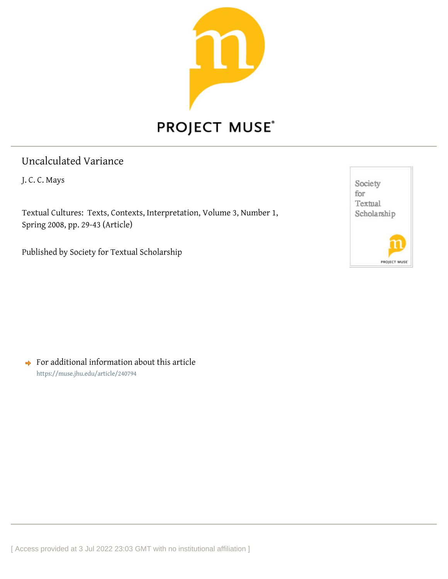

## Uncalculated Variance

J. C. C. Mays

Textual Cultures: Texts, Contexts, Interpretation, Volume 3, Number 1, Spring 2008, pp. 29-43 (Article)

Published by Society for Textual Scholarship



 $\rightarrow$  For additional information about this article <https://muse.jhu.edu/article/240794>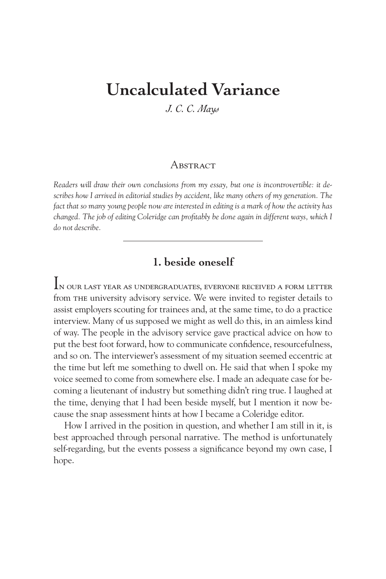# **Uncalculated Variance**

*J. C. C. Mays*

#### A BSTR ACT

*Readers will draw their own conclusions from my essay, but one is incontrovertible: it describes how I arrived in editorial studies by accident, like many others of my generation. The fact that so many young people now are interested in editing is a mark of how the activity has changed. The job of editing Coleridge can profitably be done again in different ways, which I do not describe.*

## **1. beside oneself**

In our last year as undergraduates, everyone received a form letter from the university advisory service. We were invited to register details to assist employers scouting for trainees and, at the same time, to do a practice interview. Many of us supposed we might as well do this, in an aimless kind of way. The people in the advisory service gave practical advice on how to put the best foot forward, how to communicate confidence, resourcefulness, and so on. The interviewer's assessment of my situation seemed eccentric at the time but left me something to dwell on. He said that when I spoke my voice seemed to come from somewhere else. I made an adequate case for becoming a lieutenant of industry but something didn't ring true. I laughed at the time, denying that I had been beside myself, but I mention it now because the snap assessment hints at how I became a Coleridge editor.

How I arrived in the position in question, and whether I am still in it, is best approached through personal narrative. The method is unfortunately self-regarding, but the events possess a significance beyond my own case, I hope.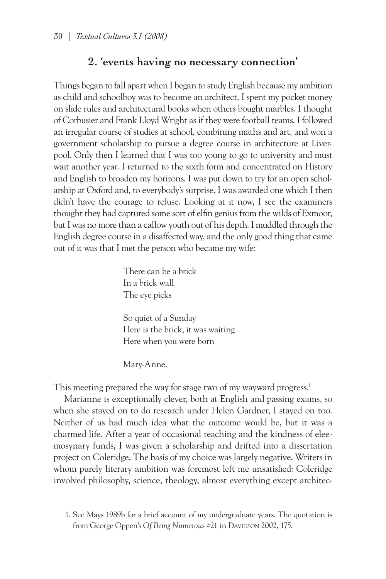## **2. 'events having no necessary connection'**

Things began to fall apart when I began to study English because my ambition as child and schoolboy was to become an architect. I spent my pocket money on slide rules and architectural books when others bought marbles. I thought of Corbusier and Frank Lloyd Wright as if they were football teams. I followed an irregular course of studies at school, combining maths and art, and won a government scholarship to pursue a degree course in architecture at Liverpool. Only then I learned that I was too young to go to university and must wait another year. I returned to the sixth form and concentrated on History and English to broaden my horizons. I was put down to try for an open scholarship at Oxford and, to everybody's surprise, I was awarded one which I then didn't have the courage to refuse. Looking at it now, I see the examiners thought they had captured some sort of elfin genius from the wilds of Exmoor, but I was no more than a callow youth out of his depth. I muddled through the English degree course in a disaffected way, and the only good thing that came out of it was that I met the person who became my wife:

> There can be a brick In a brick wall The eye picks

So quiet of a Sunday Here is the brick, it was waiting Here when you were born

Mary-Anne.

This meeting prepared the way for stage two of my wayward progress.<sup>1</sup>

Marianne is exceptionally clever, both at English and passing exams, so when she stayed on to do research under Helen Gardner, I stayed on too. Neither of us had much idea what the outcome would be, but it was a charmed life. After a year of occasional teaching and the kindness of eleemosynary funds, I was given a scholarship and drifted into a dissertation project on Coleridge. The basis of my choice was largely negative. Writers in whom purely literary ambition was foremost left me unsatisfied: Coleridge involved philosophy, science, theology, almost everything except architec-

<sup>1.</sup> See Mays 1989b for a brief account of my undergraduate years. The quotation is from George Oppen's Of Being Numerous #21 in Davidson 2002, 175.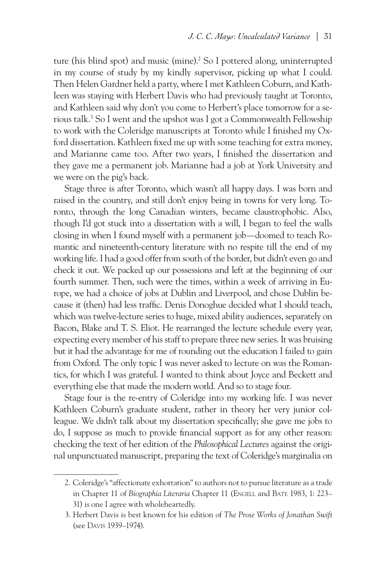ture (his blind spot) and music (mine).<sup>2</sup> So I pottered along, uninterrupted in my course of study by my kindly supervisor, picking up what I could. Then Helen Gardner held a party, where I met Kathleen Coburn, and Kathleen was staying with Herbert Davis who had previously taught at Toronto, and Kathleen said why don't you come to Herbert's place tomorrow for a serious talk.3 So I went and the upshot was I got a Commonwealth Fellowship to work with the Coleridge manuscripts at Toronto while I finished my Oxford dissertation. Kathleen fixed me up with some teaching for extra money, and Marianne came too. After two years, I finished the dissertation and they gave me a permanent job. Marianne had a job at York University and we were on the pig's back.

Stage three is after Toronto, which wasn't all happy days. I was born and raised in the country, and still don't enjoy being in towns for very long. Toronto, through the long Canadian winters, became claustrophobic. Also, though I'd got stuck into a dissertation with a will, I began to feel the walls closing in when I found myself with a permanent job—doomed to teach Romantic and nineteenth-century literature with no respite till the end of my working life. I had a good offer from south of the border, but didn't even go and check it out. We packed up our possessions and left at the beginning of our fourth summer. Then, such were the times, within a week of arriving in Europe, we had a choice of jobs at Dublin and Liverpool, and chose Dublin because it (then) had less traffic. Denis Donoghue decided what I should teach, which was twelve-lecture series to huge, mixed ability audiences, separately on Bacon, Blake and T. S. Eliot. He rearranged the lecture schedule every year, expecting every member of his staff to prepare three new series. It was bruising but it had the advantage for me of rounding out the education I failed to gain from Oxford. The only topic I was never asked to lecture on was the Romantics, for which I was grateful. I wanted to think about Joyce and Beckett and everything else that made the modern world. And so to stage four.

Stage four is the re-entry of Coleridge into my working life. I was never Kathleen Coburn's graduate student, rather in theory her very junior colleague. We didn't talk about my dissertation specifically; she gave me jobs to do, I suppose as much to provide financial support as for any other reason: checking the text of her edition of the *Philosophical Lectures* against the original unpunctuated manuscript, preparing the text of Coleridge's marginalia on

<sup>2.</sup> Coleridge's "affectionate exhortation" to authors not to pursue literature as a trade in Chapter 11 of *Biographia Literaria* Chapter 11 (ENGELL and BATE 1983, 1: 223– 31) is one I agree with wholeheartedly.

<sup>3.</sup> Herbert Davis is best known for his edition of *The Prose Works of Jonathan Swift*  (see Davis 1939–1974).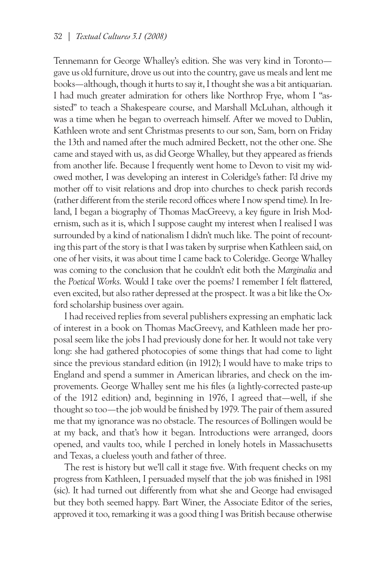Tennemann for George Whalley's edition. She was very kind in Toronto gave us old furniture, drove us out into the country, gave us meals and lent me books—although, though it hurts to say it, I thought she was a bit antiquarian. I had much greater admiration for others like Northrop Frye, whom I "assisted" to teach a Shakespeare course, and Marshall McLuhan, although it was a time when he began to overreach himself. After we moved to Dublin, Kathleen wrote and sent Christmas presents to our son, Sam, born on Friday the 13th and named after the much admired Beckett, not the other one. She came and stayed with us, as did George Whalley, but they appeared as friends from another life. Because I frequently went home to Devon to visit my widowed mother, I was developing an interest in Coleridge's father: I'd drive my mother off to visit relations and drop into churches to check parish records (rather different from the sterile record offices where I now spend time). In Ireland, I began a biography of Thomas MacGreevy, a key figure in Irish Modernism, such as it is, which I suppose caught my interest when I realised I was surrounded by a kind of nationalism I didn't much like. The point of recounting this part of the story is that I was taken by surprise when Kathleen said, on one of her visits, it was about time I came back to Coleridge. George Whalley was coming to the conclusion that he couldn't edit both the *Marginalia* and the *Poetical Works*. Would I take over the poems? I remember I felt flattered, even excited, but also rather depressed at the prospect. It was a bit like the Oxford scholarship business over again.

I had received replies from several publishers expressing an emphatic lack of interest in a book on Thomas MacGreevy, and Kathleen made her proposal seem like the jobs I had previously done for her. It would not take very long: she had gathered photocopies of some things that had come to light since the previous standard edition (in 1912); I would have to make trips to England and spend a summer in American libraries, and check on the improvements. George Whalley sent me his files (a lightly-corrected paste-up of the 1912 edition) and, beginning in 1976, I agreed that—well, if she thought so too—the job would be finished by 1979. The pair of them assured me that my ignorance was no obstacle. The resources of Bollingen would be at my back, and that's how it began. Introductions were arranged, doors opened, and vaults too, while I perched in lonely hotels in Massachusetts and Texas, a clueless youth and father of three.

The rest is history but we'll call it stage five. With frequent checks on my progress from Kathleen, I persuaded myself that the job was finished in 1981 (sic). It had turned out differently from what she and George had envisaged but they both seemed happy. Bart Winer, the Associate Editor of the series, approved it too, remarking it was a good thing I was British because otherwise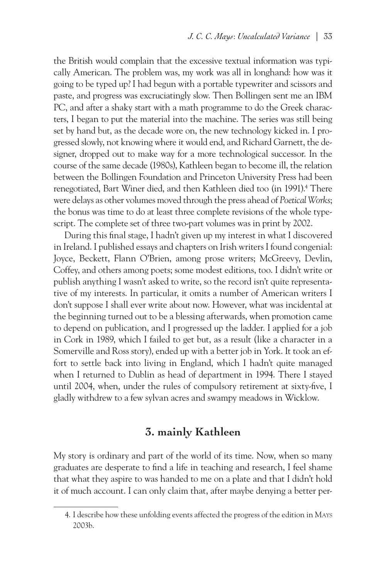the British would complain that the excessive textual information was typically American. The problem was, my work was all in longhand: how was it going to be typed up? I had begun with a portable typewriter and scissors and paste, and progress was excruciatingly slow. Then Bollingen sent me an IBM PC, and after a shaky start with a math programme to do the Greek characters, I began to put the material into the machine. The series was still being set by hand but, as the decade wore on, the new technology kicked in. I progressed slowly, not knowing where it would end, and Richard Garnett, the designer, dropped out to make way for a more technological successor. In the course of the same decade (1980s), Kathleen began to become ill, the relation between the Bollingen Foundation and Princeton University Press had been renegotiated, Bart Winer died, and then Kathleen died too (in 1991).4 There were delays as other volumes moved through the press ahead of *Poetical Works*; the bonus was time to do at least three complete revisions of the whole typescript. The complete set of three two-part volumes was in print by 2002.

During this final stage, I hadn't given up my interest in what I discovered in Ireland. I published essays and chapters on Irish writers I found congenial: Joyce, Beckett, Flann O'Brien, among prose writers; McGreevy, Devlin, Coffey, and others among poets; some modest editions, too. I didn't write or publish anything I wasn't asked to write, so the record isn't quite representative of my interests. In particular, it omits a number of American writers I don't suppose I shall ever write about now. However, what was incidental at the beginning turned out to be a blessing afterwards, when promotion came to depend on publication, and I progressed up the ladder. I applied for a job in Cork in 1989, which I failed to get but, as a result (like a character in a Somerville and Ross story), ended up with a better job in York. It took an effort to settle back into living in England, which I hadn't quite managed when I returned to Dublin as head of department in 1994. There I stayed until 2004, when, under the rules of compulsory retirement at sixty-five, I gladly withdrew to a few sylvan acres and swampy meadows in Wicklow.

### **3. mainly Kathleen**

My story is ordinary and part of the world of its time. Now, when so many graduates are desperate to find a life in teaching and research, I feel shame that what they aspire to was handed to me on a plate and that I didn't hold it of much account. I can only claim that, after maybe denying a better per-

<sup>4.</sup> I describe how these unfolding events affected the progress of the edition in Mays 2003b.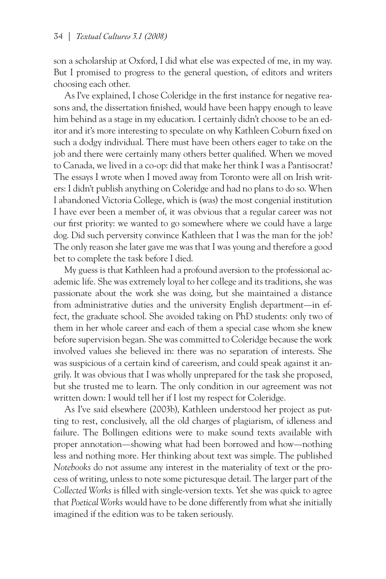son a scholarship at Oxford, I did what else was expected of me, in my way. But I promised to progress to the general question, of editors and writers choosing each other.

As I've explained, I chose Coleridge in the first instance for negative reasons and, the dissertation finished, would have been happy enough to leave him behind as a stage in my education. I certainly didn't choose to be an editor and it's more interesting to speculate on why Kathleen Coburn fixed on such a dodgy individual. There must have been others eager to take on the job and there were certainly many others better qualified. When we moved to Canada, we lived in a co-op: did that make her think I was a Pantisocrat? The essays I wrote when I moved away from Toronto were all on Irish writers: I didn't publish anything on Coleridge and had no plans to do so. When I abandoned Victoria College, which is (was) the most congenial institution I have ever been a member of, it was obvious that a regular career was not our first priority: we wanted to go somewhere where we could have a large dog. Did such perversity convince Kathleen that I was the man for the job? The only reason she later gave me was that I was young and therefore a good bet to complete the task before I died.

My guess is that Kathleen had a profound aversion to the professional academic life. She was extremely loyal to her college and its traditions, she was passionate about the work she was doing, but she maintained a distance from administrative duties and the university English department—in effect, the graduate school. She avoided taking on PhD students: only two of them in her whole career and each of them a special case whom she knew before supervision began. She was committed to Coleridge because the work involved values she believed in: there was no separation of interests. She was suspicious of a certain kind of careerism, and could speak against it angrily. It was obvious that I was wholly unprepared for the task she proposed, but she trusted me to learn. The only condition in our agreement was not written down: I would tell her if I lost my respect for Coleridge.

As I've said elsewhere (2003b), Kathleen understood her project as putting to rest, conclusively, all the old charges of plagiarism, of idleness and failure. The Bollingen editions were to make sound texts available with proper annotation—showing what had been borrowed and how—nothing less and nothing more. Her thinking about text was simple. The published *Notebooks* do not assume any interest in the materiality of text or the process of writing, unless to note some picturesque detail. The larger part of the *Collected Works* is filled with single-version texts. Yet she was quick to agree that *Poetical Works* would have to be done differently from what she initially imagined if the edition was to be taken seriously.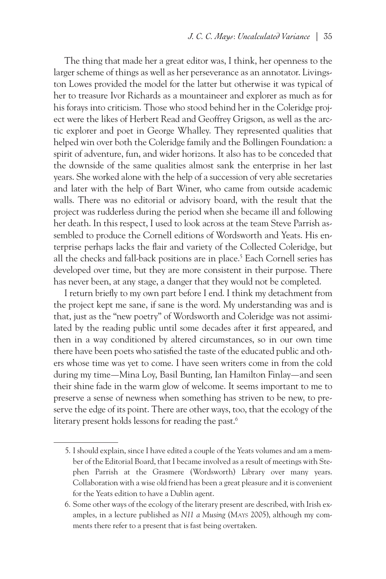The thing that made her a great editor was, I think, her openness to the larger scheme of things as well as her perseverance as an annotator. Livingston Lowes provided the model for the latter but otherwise it was typical of her to treasure Ivor Richards as a mountaineer and explorer as much as for his forays into criticism. Those who stood behind her in the Coleridge project were the likes of Herbert Read and Geoffrey Grigson, as well as the arctic explorer and poet in George Whalley. They represented qualities that helped win over both the Coleridge family and the Bollingen Foundation: a spirit of adventure, fun, and wider horizons. It also has to be conceded that the downside of the same qualities almost sank the enterprise in her last years. She worked alone with the help of a succession of very able secretaries and later with the help of Bart Winer, who came from outside academic walls. There was no editorial or advisory board, with the result that the project was rudderless during the period when she became ill and following her death. In this respect, I used to look across at the team Steve Parrish assembled to produce the Cornell editions of Wordsworth and Yeats. His enterprise perhaps lacks the flair and variety of the Collected Coleridge, but all the checks and fall-back positions are in place.<sup>5</sup> Each Cornell series has developed over time, but they are more consistent in their purpose. There has never been, at any stage, a danger that they would not be completed.

I return briefly to my own part before I end. I think my detachment from the project kept me sane, if sane is the word. My understanding was and is that, just as the "new poetry" of Wordsworth and Coleridge was not assimilated by the reading public until some decades after it first appeared, and then in a way conditioned by altered circumstances, so in our own time there have been poets who satisfied the taste of the educated public and others whose time was yet to come. I have seen writers come in from the cold during my time—Mina Loy, Basil Bunting, Ian Hamilton Finlay—and seen their shine fade in the warm glow of welcome. It seems important to me to preserve a sense of newness when something has striven to be new, to preserve the edge of its point. There are other ways, too, that the ecology of the literary present holds lessons for reading the past.<sup>6</sup>

<sup>5.</sup> I should explain, since I have edited a couple of the Yeats volumes and am a member of the Editorial Board, that I became involved as a result of meetings with Stephen Parrish at the Grasmere (Wordsworth) Library over many years. Collaboration with a wise old friend has been a great pleasure and it is convenient for the Yeats edition to have a Dublin agent.

<sup>6.</sup> Some other ways of the ecology of the literary present are described, with Irish examples, in a lecture published as *N11 a Musing* (Mays 2005), although my comments there refer to a present that is fast being overtaken.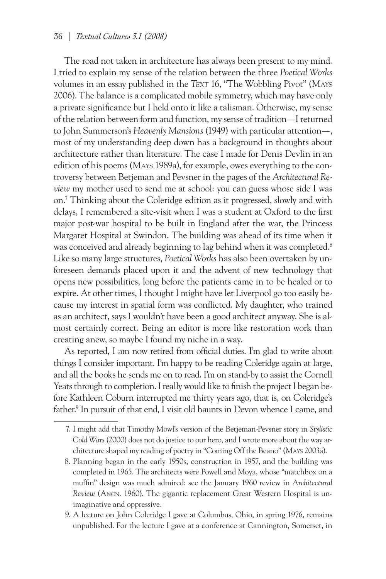The road not taken in architecture has always been present to my mind. I tried to explain my sense of the relation between the three *Poetical Works* volumes in an essay published in the *Text* 16, "The Wobbling Pivot" (Mays 2006). The balance is a complicated mobile symmetry, which may have only a private significance but I held onto it like a talisman. Otherwise, my sense of the relation between form and function, my sense of tradition—I returned to John Summerson's *Heavenly Mansions* (1949) with particular attention—, most of my understanding deep down has a background in thoughts about architecture rather than literature. The case I made for Denis Devlin in an edition of his poems (Mays 1989a), for example, owes everything to the controversy between Betjeman and Pevsner in the pages of the *Architectural Review* my mother used to send me at school: you can guess whose side I was on.7 Thinking about the Coleridge edition as it progressed, slowly and with delays, I remembered a site-visit when I was a student at Oxford to the first major post-war hospital to be built in England after the war, the Princess Margaret Hospital at Swindon. The building was ahead of its time when it was conceived and already beginning to lag behind when it was completed.<sup>8</sup> Like so many large structures, *Poetical Works* has also been overtaken by unforeseen demands placed upon it and the advent of new technology that opens new possibilities, long before the patients came in to be healed or to expire. At other times, I thought I might have let Liverpool go too easily because my interest in spatial form was conflicted. My daughter, who trained as an architect, says I wouldn't have been a good architect anyway. She is almost certainly correct. Being an editor is more like restoration work than creating anew, so maybe I found my niche in a way.

As reported, I am now retired from official duties. I'm glad to write about things I consider important. I'm happy to be reading Coleridge again at large, and all the books he sends me on to read. I'm on stand-by to assist the Cornell Yeats through to completion. I really would like to finish the project I began before Kathleen Coburn interrupted me thirty years ago, that is, on Coleridge's father.<sup>9</sup> In pursuit of that end, I visit old haunts in Devon whence I came, and

9. A lecture on John Coleridge I gave at Columbus, Ohio, in spring 1976, remains unpublished. For the lecture I gave at a conference at Cannington, Somerset, in

<sup>7.</sup> I might add that Timothy Mowl's version of the Betjeman-Pevsner story in *Stylistic Cold Wars* (2000) does not do justice to our hero, and I wrote more about the way architecture shaped my reading of poetry in "Coming Off the Beano" (Mays 2003a).

<sup>8.</sup> Planning began in the early 1950s, construction in 1957, and the building was completed in 1965. The architects were Powell and Moya, whose "matchbox on a muffin" design was much admired: see the January 1960 review in *Architectural Review* (Anon. 1960). The gigantic replacement Great Western Hospital is unimaginative and oppressive.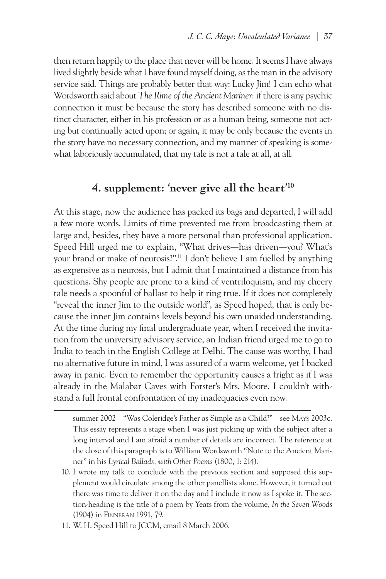then return happily to the place that never will be home. It seems I have always lived slightly beside what I have found myself doing, as the man in the advisory service said. Things are probably better that way: Lucky Jim! I can echo what Wordsworth said about *The Rime of the Ancient Mariner*: if there is any psychic connection it must be because the story has described someone with no distinct character, either in his profession or as a human being, someone not acting but continually acted upon; or again, it may be only because the events in the story have no necessary connection, and my manner of speaking is somewhat laboriously accumulated, that my tale is not a tale at all, at all.

#### **4. supplement: 'never give all the heart'10**

At this stage, now the audience has packed its bags and departed, I will add a few more words. Limits of time prevented me from broadcasting them at large and, besides, they have a more personal than professional application. Speed Hill urged me to explain, "What drives—has driven—you? What's your brand or make of neurosis?".11 I don't believe I am fuelled by anything as expensive as a neurosis, but I admit that I maintained a distance from his questions. Shy people are prone to a kind of ventriloquism, and my cheery tale needs a spoonful of ballast to help it ring true. If it does not completely "reveal the inner Jim to the outside world", as Speed hoped, that is only because the inner Jim contains levels beyond his own unaided understanding. At the time during my final undergraduate year, when I received the invitation from the university advisory service, an Indian friend urged me to go to India to teach in the English College at Delhi. The cause was worthy, I had no alternative future in mind, I was assured of a warm welcome, yet I backed away in panic. Even to remember the opportunity causes a fright as if I was already in the Malabar Caves with Forster's Mrs. Moore. I couldn't withstand a full frontal confrontation of my inadequacies even now.

11. W. H. Speed Hill to JCCM, email 8 March 2006.

summer 2002—"Was Coleridge's Father as Simple as a Child?"—see Mays 2003c. This essay represents a stage when I was just picking up with the subject after a long interval and I am afraid a number of details are incorrect. The reference at the close of this paragraph is to William Wordsworth "Note to the Ancient Mariner" in his *Lyrical Ballads, with Other Poems* (1800, 1: 214).

<sup>10.</sup> I wrote my talk to conclude with the previous section and supposed this supplement would circulate among the other panellists alone. However, it turned out there was time to deliver it on the day and I include it now as I spoke it. The section-heading is the title of a poem by Yeats from the volume, *In the Seven Woods* (1904) in Finneran 1991, 79.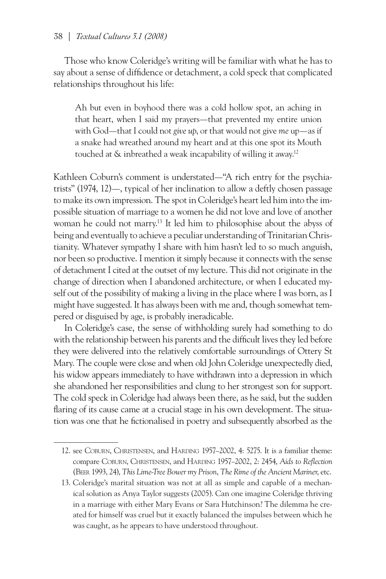#### 38 *| Textual Cultures 3.1 (2008)*

Those who know Coleridge's writing will be familiar with what he has to say about a sense of diffidence or detachment, a cold speck that complicated relationships throughout his life:

Ah but even in boyhood there was a cold hollow spot, an aching in that heart, when I said my prayers—that prevented my entire union with God—that I could not *give up*, or that would not give *me* up—as if a snake had wreathed around my heart and at this one spot its Mouth touched at & inbreathed a weak incapability of willing it away.12

Kathleen Coburn's comment is understated—"A rich entry for the psychiatrists" (1974, 12)—, typical of her inclination to allow a deftly chosen passage to make its own impression. The spot in Coleridge's heart led him into the impossible situation of marriage to a women he did not love and love of another woman he could not marry.13 It led him to philosophise about the abyss of being and eventually to achieve a peculiar understanding of Trinitarian Christianity. Whatever sympathy I share with him hasn't led to so much anguish, nor been so productive. I mention it simply because it connects with the sense of detachment I cited at the outset of my lecture. This did not originate in the change of direction when I abandoned architecture, or when I educated myself out of the possibility of making a living in the place where I was born, as I might have suggested. It has always been with me and, though somewhat tempered or disguised by age, is probably ineradicable.

In Coleridge's case, the sense of withholding surely had something to do with the relationship between his parents and the difficult lives they led before they were delivered into the relatively comfortable surroundings of Ottery St Mary. The couple were close and when old John Coleridge unexpectedly died, his widow appears immediately to have withdrawn into a depression in which she abandoned her responsibilities and clung to her strongest son for support. The cold speck in Coleridge had always been there, as he said, but the sudden flaring of its cause came at a crucial stage in his own development. The situation was one that he fictionalised in poetry and subsequently absorbed as the

<sup>12.</sup> see Coburn, Christensen, and Harding 1957–2002, 4: 5275. It is a familiar theme: compare Coburn, Christensen, and Harding 1957–2002, 2: 2454, *Aids to Reflection* (Beer 1993, 24), *This Lime-Tree Bower my Prison*, *The Rime of the Ancient Mariner*, etc.

<sup>13.</sup> Coleridge's marital situation was not at all as simple and capable of a mechanical solution as Anya Taylor suggests (2005). Can one imagine Coleridge thriving in a marriage with either Mary Evans or Sara Hutchinson? The dilemma he created for himself was cruel but it exactly balanced the impulses between which he was caught, as he appears to have understood throughout.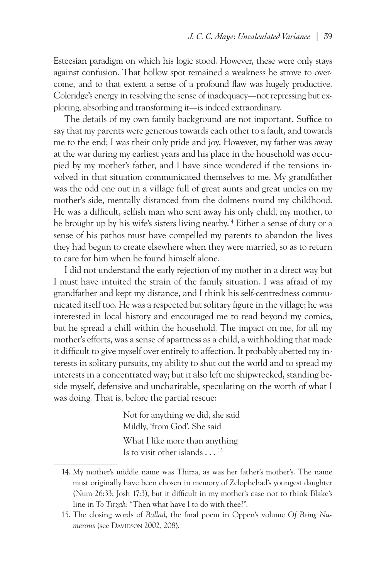Esteesian paradigm on which his logic stood. However, these were only stays against confusion. That hollow spot remained a weakness he strove to overcome, and to that extent a sense of a profound flaw was hugely productive. Coleridge's energy in resolving the sense of inadequacy—not repressing but exploring, absorbing and transforming it—is indeed extraordinary.

The details of my own family background are not important. Suffice to say that my parents were generous towards each other to a fault, and towards me to the end; I was their only pride and joy. However, my father was away at the war during my earliest years and his place in the household was occupied by my mother's father, and I have since wondered if the tensions involved in that situation communicated themselves to me. My grandfather was the odd one out in a village full of great aunts and great uncles on my mother's side, mentally distanced from the dolmens round my childhood. He was a difficult, selfish man who sent away his only child, my mother, to be brought up by his wife's sisters living nearby.14 Either a sense of duty or a sense of his pathos must have compelled my parents to abandon the lives they had begun to create elsewhere when they were married, so as to return to care for him when he found himself alone.

I did not understand the early rejection of my mother in a direct way but I must have intuited the strain of the family situation. I was afraid of my grandfather and kept my distance, and I think his self-centredness communicated itself too. He was a respected but solitary figure in the village; he was interested in local history and encouraged me to read beyond my comics, but he spread a chill within the household. The impact on me, for all my mother's efforts, was a sense of apartness as a child, a withholding that made it difficult to give myself over entirely to affection. It probably abetted my interests in solitary pursuits, my ability to shut out the world and to spread my interests in a concentrated way; but it also left me shipwrecked, standing beside myself, defensive and uncharitable, speculating on the worth of what I was doing. That is, before the partial rescue:

> Not for anything we did, she said Mildly, 'from God'. She said What I like more than anything Is to visit other islands . . . 15

<sup>14.</sup> My mother's middle name was Thirza, as was her father's mother's. The name must originally have been chosen in memory of Zelophehad's youngest daughter (Num 26:33; Josh 17:3), but it difficult in my mother's case not to think Blake's line in *To Tirzah*: "Then what have I to do with thee?".

<sup>15.</sup> The closing words of *Ballad*, the final poem in Oppen's volume *Of Being Numerous* (see DAVIDSON 2002, 208).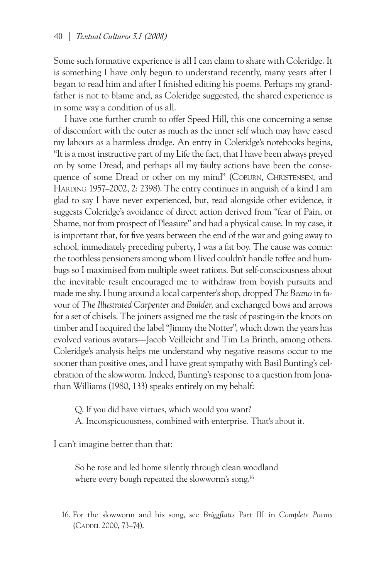Some such formative experience is all I can claim to share with Coleridge. It is something I have only begun to understand recently, many years after I began to read him and after I finished editing his poems. Perhaps my grandfather is not to blame and, as Coleridge suggested, the shared experience is in some way a condition of us all.

I have one further crumb to offer Speed Hill, this one concerning a sense of discomfort with the outer as much as the inner self which may have eased my labours as a harmless drudge. An entry in Coleridge's notebooks begins, "It is a most instructive part of my Life the fact, that I have been always preyed on by some Dread, and perhaps all my faulty actions have been the consequence of some Dread or other on my mind" (Coburn, Christensen, and Harding 1957–2002, 2: 2398). The entry continues in anguish of a kind I am glad to say I have never experienced, but, read alongside other evidence, it suggests Coleridge's avoidance of direct action derived from "fear of Pain, or Shame, not from prospect of Pleasure" and had a physical cause. In my case, it is important that, for five years between the end of the war and going away to school, immediately preceding puberty, I was a fat boy. The cause was comic: the toothless pensioners among whom I lived couldn't handle toffee and humbugs so I maximised from multiple sweet rations. But self-consciousness about the inevitable result encouraged me to withdraw from boyish pursuits and made me shy. I hung around a local carpenter's shop, dropped *The Beano* in favour of *The Illustrated Carpenter and Builder*, and exchanged bows and arrows for a set of chisels. The joiners assigned me the task of pasting-in the knots on timber and I acquired the label "Jimmy the Notter", which down the years has evolved various avatars—Jacob Veilleicht and Tim La Brinth, among others. Coleridge's analysis helps me understand why negative reasons occur to me sooner than positive ones, and I have great sympathy with Basil Bunting's celebration of the slowworm. Indeed, Bunting's response to a question from Jonathan Williams (1980, 133) speaks entirely on my behalf:

Q. If you did have virtues, which would you want?

A. Inconspicuousness, combined with enterprise. That's about it.

I can't imagine better than that:

So he rose and led home silently through clean woodland where every bough repeated the slowworm's song.<sup>16</sup>

<sup>16.</sup> For the slowworm and his song, see *Briggflatts* Part III in *Complete Poems* (Caddel 2000, 73–74).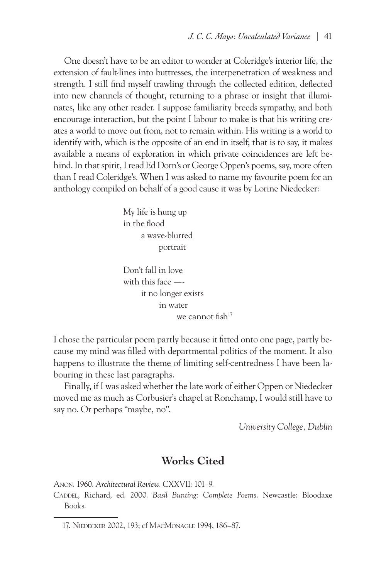One doesn't have to be an editor to wonder at Coleridge's interior life, the extension of fault-lines into buttresses, the interpenetration of weakness and strength. I still find myself trawling through the collected edition, deflected into new channels of thought, returning to a phrase or insight that illuminates, like any other reader. I suppose familiarity breeds sympathy, and both encourage interaction, but the point I labour to make is that his writing creates a world to move out from, not to remain within. His writing is a world to identify with, which is the opposite of an end in itself; that is to say, it makes available a means of exploration in which private coincidences are left behind. In that spirit, I read Ed Dorn's or George Oppen's poems, say, more often than I read Coleridge's. When I was asked to name my favourite poem for an anthology compiled on behalf of a good cause it was by Lorine Niedecker:

> My life is hung up in the flood a wave-blurred portrait

Don't fall in love with this face  $$  it no longer exists in water we cannot fish<sup>17</sup>

I chose the particular poem partly because it fitted onto one page, partly because my mind was filled with departmental politics of the moment. It also happens to illustrate the theme of limiting self-centredness I have been labouring in these last paragraphs.

Finally, if I was asked whether the late work of either Oppen or Niedecker moved me as much as Corbusier's chapel at Ronchamp, I would still have to say no. Or perhaps "maybe, no".

 *University College, Dublin*

#### **Works Cited**

Anon. 1960. *Architectural Review*. CXXVII: 101–9.

CADDEL, Richard, ed. 2000. *Basil Bunting: Complete Poems*. Newcastle: Bloodaxe Books.

<sup>17.</sup> Niedecker 2002, 193; cf MacMonagle 1994, 186–87.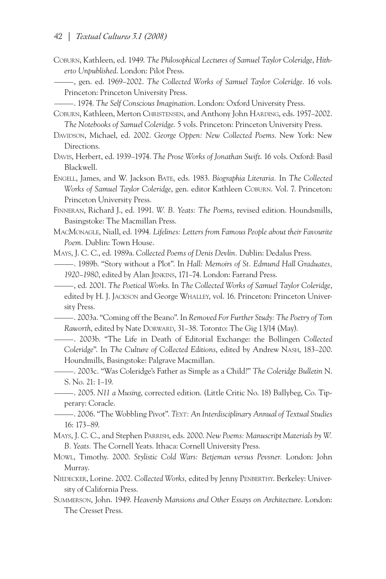Coburn, Kathleen, ed. 1949. *The Philosophical Lectures of Samuel Taylor Coleridge*, *Hitherto Unpublished*. London: Pilot Press.

———, gen. ed. 1969–2002. *The Collected Works of Samuel Taylor Coleridge*. 16 vols. Princeton: Princeton University Press.

———. 1974. *The Self Conscious Imagination*. London: Oxford University Press.

Coburn, Kathleen, Merton Christensen, and Anthony John Harding, eds. 1957–2002. *The Notebooks of Samuel Coleridge*. 5 vols. Princeton: Princeton University Press.

- DAVIDSON, Michael, ed. 2002. *George Oppen: New Collected Poems*. New York: New Directions.
- Davis, Herbert, ed. 1939–1974. *The Prose Works of Jonathan Swift*. 16 vols. Oxford: Basil Blackwell.

Engell, James, and W. Jackson Bate, eds. 1983. *Biographia Literaria.* In *The Collected Works of Samuel Taylor Coleridge*, gen. editor Kathleen Coburn. Vol. 7. Princeton: Princeton University Press.

Finneran, Richard J., ed. 1991. *W. B. Yeats: The Poems*, revised edition. Houndsmills, Basingstoke: The Macmillan Press.

MacMonagle, Niall, ed. 1994*. Lifelines: Letters from Famous People about their Favourite Poem.* Dublin: Town House.

Mays, J. C. C., ed. 1989a. *Collected Poems of Denis Devlin.* Dublin: Dedalus Press.

———. 1989b. "Story without a Plot". In *Hall: Memoirs of St. Edmund Hall Graduates, 1920–1980*, edited by Alan Jenkins, 171–74. London: Farrand Press.

———, ed. 2001. *The Poetical Works*. In *The Collected Works of Samuel Taylor Coleridge*, edited by H. J. Jackson and George Whalley, vol. 16. Princeton: Princeton University Press.

———. 2003a. "Coming off the Beano". In *Removed For Further Study: The Poetry of Tom*  Raworth, edited by Nate DORWARD, 31-38. Toronto: The Gig 13/14 (May).

———. 2003b. "The Life in Death of Editorial Exchange: the Bollingen *Collected Coleridge*". In *The Culture of Collected Editions*, edited by Andrew Nash, 183–200. Houndmills, Basingstoke: Palgrave Macmillan.

- ———. 2003c. "Was Coleridge's Father as Simple as a Child?" *The Coleridge Bulletin* N. S. No. 21: 1–19.
- ———. 2005. *N11 a Musing*, corrected edition. (Little Critic No. 18) Ballybeg, Co. Tipperary: Coracle.

———. 2006. "The Wobbling Pivot". *Text: An Interdisciplinary Annual of Textual Studies*  16: 173–89.

Mays, J. C. C., and Stephen Parrish, eds. 2000. *New Poems: Manuscript Materials by W. B. Yeats.* The Cornell Yeats. Ithaca: Cornell University Press.

Mowl, Timothy. 2000. *Stylistic Cold Wars: Betjeman versus Pevsner.* London: John Murray.

- NIEDECKER, Lorine. 2002. Collected Works, edited by Jenny PENBERTHY. Berkeley: University of California Press.
- Summerson, John. 1949. *Heavenly Mansions and Other Essays on Architecture*. London: The Cresset Press.